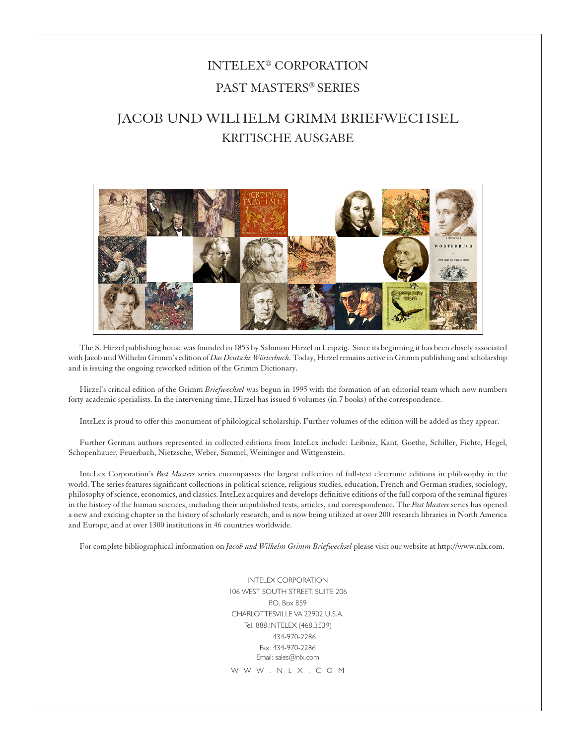## INTELEX® CORPORATION PAST MASTERS® SERIES

## JACOB UND WILHELM GRIMM BRIEFWECHSEL KRITISCHE AUSGABE



The S. Hirzel publishing house was founded in 1853 by Salomon Hirzel in Leipzig. Since its beginning it has been closely associated with Jacob und Wilhelm Grimm's edition of *Das Deutsche Wörterbuch.* Today, Hirzel remains active in Grimm publishing and scholarship and is issuing the ongoing reworked edition of the Grimm Dictionary.

Hirzel's critical edition of the Grimm *Briefwechsel* was begun in 1995 with the formation of an editorial team which now numbers forty academic specialists. In the intervening time, Hirzel has issued 6 volumes (in 7 books) of the correspondence.

InteLex is proud to offer this monument of philological scholarship. Further volumes of the edition will be added as they appear.

Further German authors represented in collected editions from InteLex include: Leibniz, Kant, Goethe, Schiller, Fichte, Hegel, Schopenhauer, Feuerbach, Nietzsche, Weber, Simmel, Weininger and Wittgenstein.

InteLex Corporation's *Past Masters* series encompasses the largest collection of full-text electronic editions in philosophy in the world. The series features significant collections in political science, religious studies, education, French and German studies, sociology, philosophy of science, economics, and classics. InteLex acquires and develops definitive editions of the full corpora of the seminal figures in the history of the human sciences, including their unpublished texts, articles, and correspondence. The *Past Masters* series has opened a new and exciting chapter in the history of scholarly research, and is now being utilized at over 200 research libraries in North America and Europe, and at over 1300 institutions in 46 countries worldwide.

For complete bibliographical information on *Jacob und Wilhelm Grimm Briefwechsel* please visit our website at http://www.nlx.com.

INTELEX CORPORATION 106 WEST SOUTH STREET, SUITE 206 P.O. Box 859 CHARLOTTESVILLE VA 22902 U.S.A. Tel. 888.INTELEX (468.3539) 434-970-2286 Fax: 434-970-2286 Email: sales@nlx.com

W W W . N L X . C O M